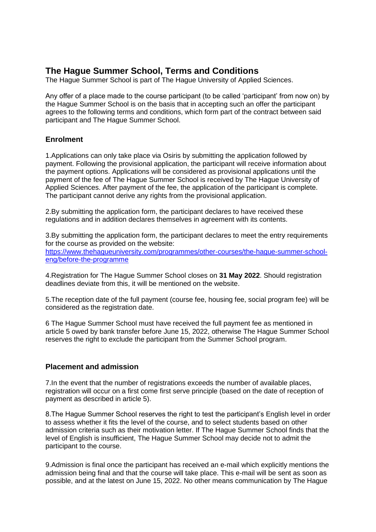# **The Hague Summer School, Terms and Conditions**

The Hague Summer School is part of The Hague University of Applied Sciences.

Any offer of a place made to the course participant (to be called 'participant' from now on) by the Hague Summer School is on the basis that in accepting such an offer the participant agrees to the following terms and conditions, which form part of the contract between said participant and The Hague Summer School.

## **Enrolment**

1.Applications can only take place via Osiris by submitting the application followed by payment. Following the provisional application, the participant will receive information about the payment options. Applications will be considered as provisional applications until the payment of the fee of The Hague Summer School is received by The Hague University of Applied Sciences. After payment of the fee, the application of the participant is complete. The participant cannot derive any rights from the provisional application.

2.By submitting the application form, the participant declares to have received these regulations and in addition declares themselves in agreement with its contents.

3.By submitting the application form, the participant declares to meet the entry requirements for the course as provided on the website:

[https://www.thehagueuniversity.com/programmes/other-courses/the-hague-summer-school](https://www.thehagueuniversity.com/programmes/other-courses/the-hague-summer-school-eng/before-the-programme)[eng/before-the-programme](https://www.thehagueuniversity.com/programmes/other-courses/the-hague-summer-school-eng/before-the-programme)

4.Registration for The Hague Summer School closes on **31 May 2022**. Should registration deadlines deviate from this, it will be mentioned on the website.

5.The reception date of the full payment (course fee, housing fee, social program fee) will be considered as the registration date.

6 The Hague Summer School must have received the full payment fee as mentioned in article 5 owed by bank transfer before June 15, 2022, otherwise The Hague Summer School reserves the right to exclude the participant from the Summer School program.

## **Placement and admission**

7.In the event that the number of registrations exceeds the number of available places, registration will occur on a first come first serve principle (based on the date of reception of payment as described in article 5).

8.The Hague Summer School reserves the right to test the participant's English level in order to assess whether it fits the level of the course, and to select students based on other admission criteria such as their motivation letter. If The Hague Summer School finds that the level of English is insufficient, The Hague Summer School may decide not to admit the participant to the course.

9.Admission is final once the participant has received an e-mail which explicitly mentions the admission being final and that the course will take place. This e-mail will be sent as soon as possible, and at the latest on June 15, 2022. No other means communication by The Hague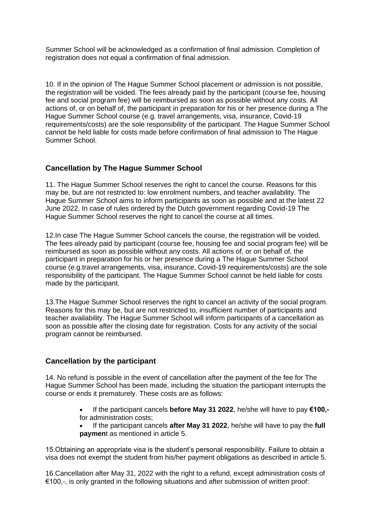Summer School will be acknowledged as a confirmation of final admission. Completion of registration does not equal a confirmation of final admission.

10. If in the opinion of The Hague Summer School placement or admission is not possible, the registration will be voided. The fees already paid by the participant (course fee, housing fee and social program fee) will be reimbursed as soon as possible without any costs. All actions of, or on behalf of, the participant in preparation for his or her presence during a The Hague Summer School course (e.g. travel arrangements, visa, insurance, Covid-19 requirements/costs) are the sole responsibility of the participant. The Hague Summer School cannot be held liable for costs made before confirmation of final admission to The Hague Summer School.

## **Cancellation by The Hague Summer School**

11. The Hague Summer School reserves the right to cancel the course. Reasons for this may be, but are not restricted to: low enrolment numbers, and teacher availability. The Hague Summer School aims to inform participants as soon as possible and at the latest 22 June 2022. In case of rules ordered by the Dutch government regarding Covid-19 The Hague Summer School reserves the right to cancel the course at all times.

12.In case The Hague Summer School cancels the course, the registration will be voided. The fees already paid by participant (course fee, housing fee and social program fee) will be reimbursed as soon as possible without any costs. All actions of, or on behalf of, the participant in preparation for his or her presence during a The Hague Summer School course (e.g.travel arrangements, visa, insurance, Covid-19 requirements/costs) are the sole responsibility of the participant. The Hague Summer School cannot be held liable for costs made by the participant.

13.The Hague Summer School reserves the right to cancel an activity of the social program. Reasons for this may be, but are not restricted to, insufficient number of participants and teacher availability. The Hague Summer School will inform participants of a cancellation as soon as possible after the closing date for registration. Costs for any activity of the social program cannot be reimbursed.

## **Cancellation by the participant**

14. No refund is possible in the event of cancellation after the payment of the fee for The Hague Summer School has been made, including the situation the participant interrupts the course or ends it prematurely. These costs are as follows:

- If the participant cancels **before May 31 2022**, he/she will have to pay **€100,** for administration costs;
- If the participant cancels **after May 31 2022**, he/she will have to pay the **full paymen**t as mentioned in article 5.

15.Obtaining an appropriate visa is the student's personal responsibility. Failure to obtain a visa does not exempt the student from his/her payment obligations as described in article 5.

16.Cancellation after May 31, 2022 with the right to a refund, except administration costs of €100,-, is only granted in the following situations and after submission of written proof: